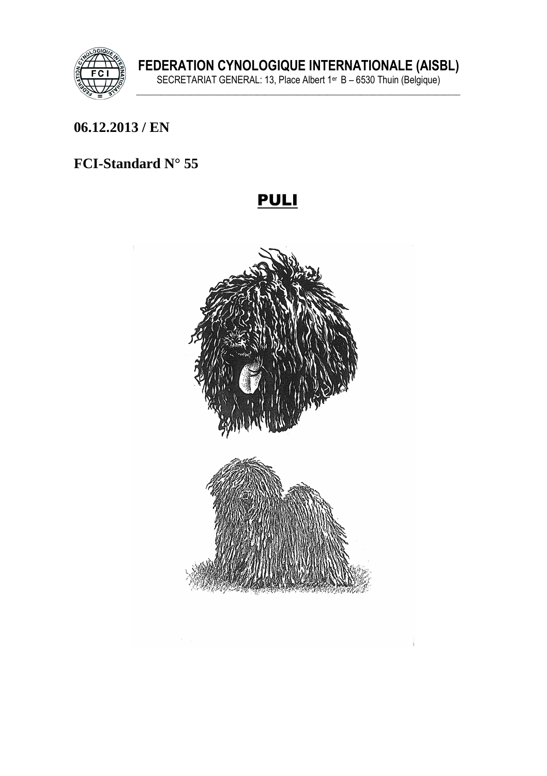

### 06.12.2013 / EN

# FCI-Standard N° 55

# **PULI**

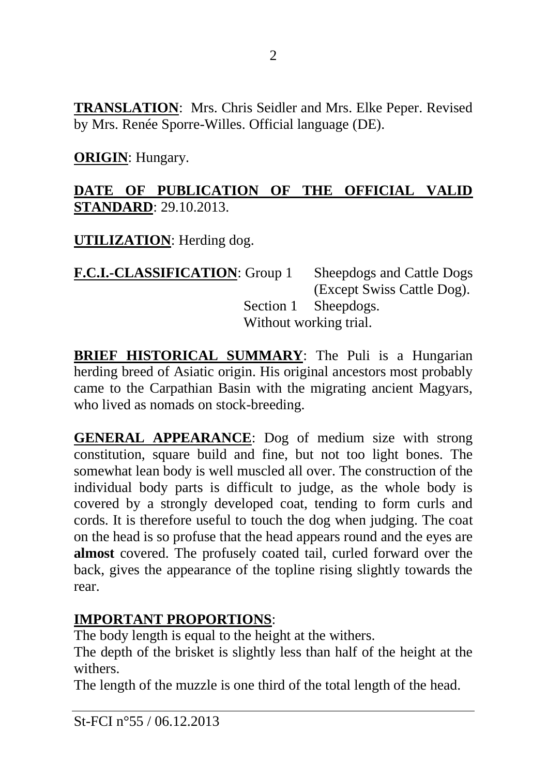**TRANSLATION**: Mrs. Chris Seidler and Mrs. Elke Peper. Revised by Mrs. Renée Sporre-Willes. Official language (DE).

**ORIGIN**: Hungary.

### **DATE OF PUBLICATION OF THE OFFICIAL VALID STANDARD**: 29.10.2013.

**UTILIZATION**: Herding dog.

**F.C.I.-CLASSIFICATION**: Group 1 Sheepdogs and Cattle Dogs (Except Swiss Cattle Dog). Section 1 Sheepdogs. Without working trial.

**BRIEF HISTORICAL SUMMARY**: The Puli is a Hungarian herding breed of Asiatic origin. His original ancestors most probably came to the Carpathian Basin with the migrating ancient Magyars, who lived as nomads on stock-breeding.

**GENERAL APPEARANCE**: Dog of medium size with strong constitution, square build and fine, but not too light bones. The somewhat lean body is well muscled all over. The construction of the individual body parts is difficult to judge, as the whole body is covered by a strongly developed coat, tending to form curls and cords. It is therefore useful to touch the dog when judging. The coat on the head is so profuse that the head appears round and the eyes are **almost** covered. The profusely coated tail, curled forward over the back, gives the appearance of the topline rising slightly towards the rear.

# **IMPORTANT PROPORTIONS**:

The body length is equal to the height at the withers.

The depth of the brisket is slightly less than half of the height at the withers.

The length of the muzzle is one third of the total length of the head.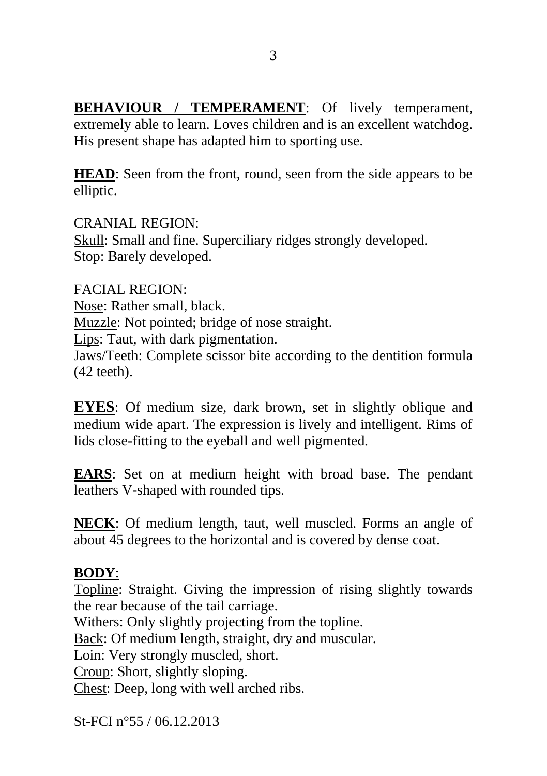**BEHAVIOUR / TEMPERAMENT:** Of lively temperament, extremely able to learn. Loves children and is an excellent watchdog. His present shape has adapted him to sporting use.

**HEAD**: Seen from the front, round, seen from the side appears to be elliptic.

CRANIAL REGION: Skull: Small and fine. Superciliary ridges strongly developed. Stop: Barely developed.

FACIAL REGION: Nose: Rather small, black. Muzzle: Not pointed; bridge of nose straight. Lips: Taut, with dark pigmentation. Jaws/Teeth: Complete scissor bite according to the dentition formula (42 teeth).

**EYES**: Of medium size, dark brown, set in slightly oblique and medium wide apart. The expression is lively and intelligent. Rims of lids close-fitting to the eyeball and well pigmented.

**EARS**: Set on at medium height with broad base. The pendant leathers V-shaped with rounded tips.

**NECK**: Of medium length, taut, well muscled. Forms an angle of about 45 degrees to the horizontal and is covered by dense coat.

# **BODY**:

Topline: Straight. Giving the impression of rising slightly towards the rear because of the tail carriage.

Withers: Only slightly projecting from the topline.

Back: Of medium length, straight, dry and muscular.

Loin: Very strongly muscled, short.

Croup: Short, slightly sloping.

Chest: Deep, long with well arched ribs.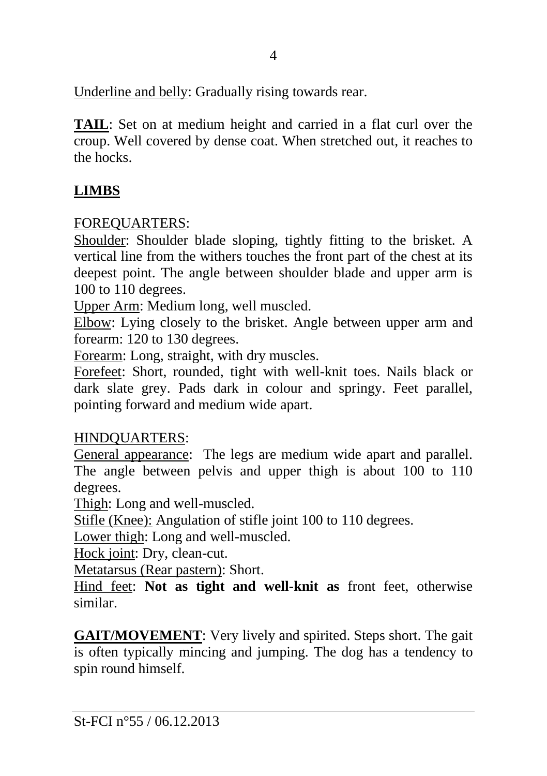Underline and belly: Gradually rising towards rear.

**TAIL**: Set on at medium height and carried in a flat curl over the croup. Well covered by dense coat. When stretched out, it reaches to the hocks.

# **LIMBS**

# FOREQUARTERS:

Shoulder: Shoulder blade sloping, tightly fitting to the brisket. A vertical line from the withers touches the front part of the chest at its deepest point. The angle between shoulder blade and upper arm is 100 to 110 degrees.

Upper Arm: Medium long, well muscled.

Elbow: Lying closely to the brisket. Angle between upper arm and forearm: 120 to 130 degrees.

Forearm: Long, straight, with dry muscles.

Forefeet: Short, rounded, tight with well-knit toes. Nails black or dark slate grey. Pads dark in colour and springy. Feet parallel, pointing forward and medium wide apart.

# HINDQUARTERS:

General appearance: The legs are medium wide apart and parallel. The angle between pelvis and upper thigh is about 100 to 110 degrees.

Thigh: Long and well-muscled.

Stifle (Knee): Angulation of stifle joint 100 to 110 degrees.

Lower thigh: Long and well-muscled.

Hock joint: Dry, clean-cut.

Metatarsus (Rear pastern): Short.

Hind feet: **Not as tight and well-knit as** front feet, otherwise similar.

**GAIT/MOVEMENT**: Very lively and spirited. Steps short. The gait is often typically mincing and jumping. The dog has a tendency to spin round himself.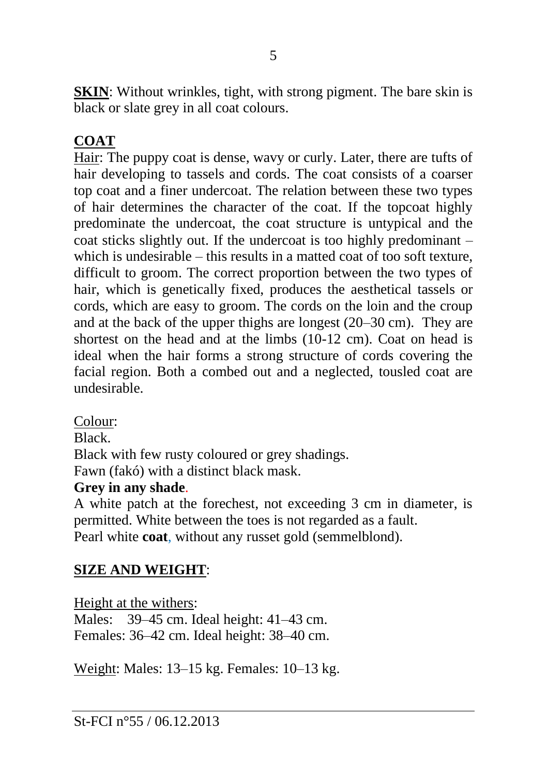**SKIN:** Without wrinkles, tight, with strong pigment. The bare skin is black or slate grey in all coat colours.

# **COAT**

Hair: The puppy coat is dense, wavy or curly. Later, there are tufts of hair developing to tassels and cords. The coat consists of a coarser top coat and a finer undercoat. The relation between these two types of hair determines the character of the coat. If the topcoat highly predominate the undercoat, the coat structure is untypical and the coat sticks slightly out. If the undercoat is too highly predominant – which is undesirable – this results in a matted coat of too soft texture, difficult to groom. The correct proportion between the two types of hair, which is genetically fixed, produces the aesthetical tassels or cords, which are easy to groom. The cords on the loin and the croup and at the back of the upper thighs are longest (20–30 cm). They are shortest on the head and at the limbs (10-12 cm). Coat on head is ideal when the hair forms a strong structure of cords covering the facial region. Both a combed out and a neglected, tousled coat are undesirable.

Colour:

Black.

Black with few rusty coloured or grey shadings.

Fawn (fakó) with a distinct black mask.

#### **Grey in any shade**.

A white patch at the forechest, not exceeding 3 cm in diameter, is permitted. White between the toes is not regarded as a fault. Pearl white **coat**, without any russet gold (semmelblond).

# **SIZE AND WEIGHT**:

Height at the withers: Males: 39–45 cm. Ideal height: 41–43 cm. Females: 36–42 cm. Ideal height: 38–40 cm.

Weight: Males: 13–15 kg. Females: 10–13 kg.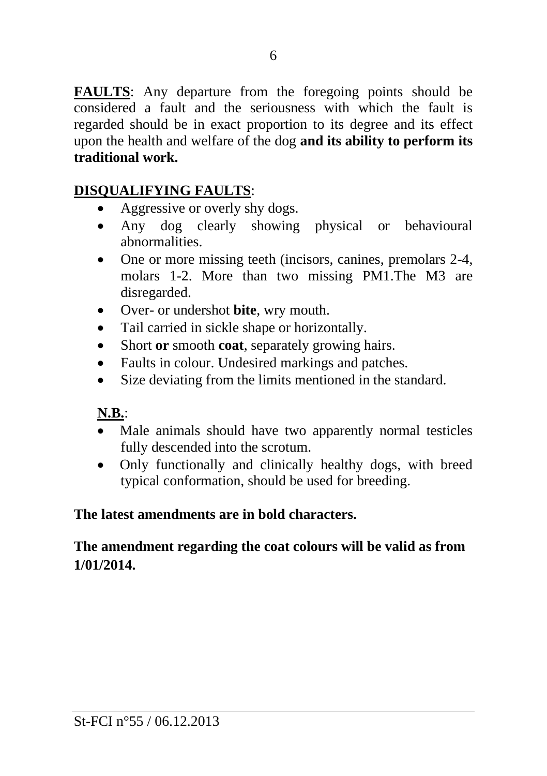**FAULTS**: Any departure from the foregoing points should be considered a fault and the seriousness with which the fault is regarded should be in exact proportion to its degree and its effect upon the health and welfare of the dog **and its ability to perform its traditional work.**

#### **DISQUALIFYING FAULTS**:

- Aggressive or overly shy dogs.
- Any dog clearly showing physical or behavioural abnormalities.
- One or more missing teeth (incisors, canines, premolars 2-4, molars 1-2. More than two missing PM1.The M3 are disregarded.
- Over- or undershot **bite**, wry mouth.
- Tail carried in sickle shape or horizontally.
- Short **or** smooth **coat**, separately growing hairs.
- Faults in colour. Undesired markings and patches.
- Size deviating from the limits mentioned in the standard.

#### **N.B.**:

- Male animals should have two apparently normal testicles fully descended into the scrotum.
- Only functionally and clinically healthy dogs, with breed typical conformation, should be used for breeding.

#### **The latest amendments are in bold characters.**

# **The amendment regarding the coat colours will be valid as from 1/01/2014.**